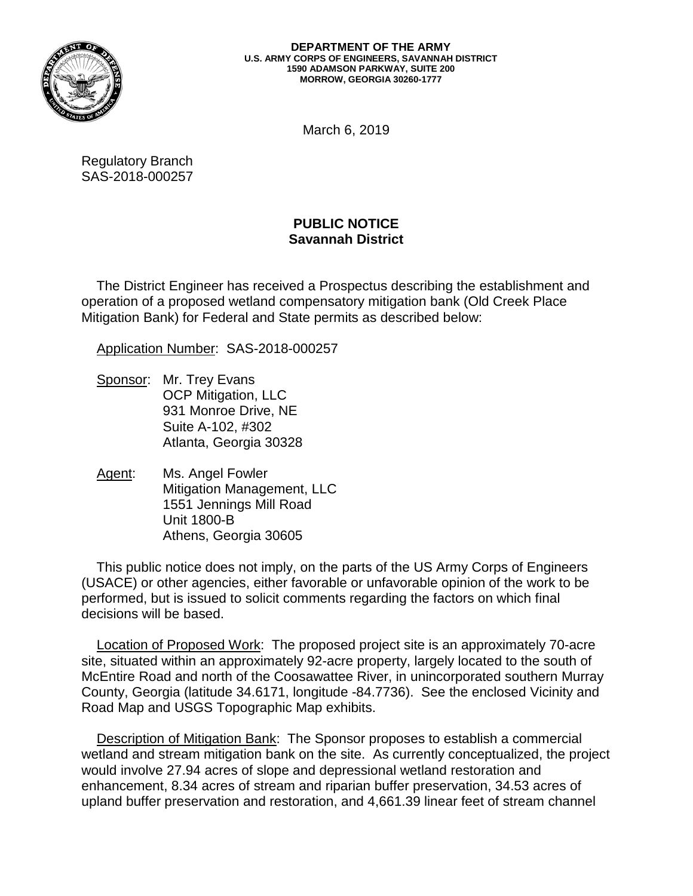

## **DEPARTMENT OF THE ARMY U.S. ARMY CORPS OF ENGINEERS, SAVANNAH DISTRICT 1590 ADAMSON PARKWAY, SUITE 200 MORROW, GEORGIA 30260-1777**

March 6, 2019

Regulatory Branch SAS-2018-000257

## **PUBLIC NOTICE Savannah District**

 operation of a proposed wetland compensatory mitigation bank (Old Creek Place The District Engineer has received a Prospectus describing the establishment and Mitigation Bank) for Federal and State permits as described below:

Application Number: SAS-2018-000257

- Sponsor: Mr. Trey Evans OCP Mitigation, LLC 931 Monroe Drive, NE Suite A-102, #302 Atlanta, Georgia 30328
- Agent: Ms. Angel Fowler Mitigation Management, LLC 1551 Jennings Mill Road Unit 1800-B Athens, Georgia 30605

This public notice does not imply, on the parts of the US Army Corps of Engineers (USACE) or other agencies, either favorable or unfavorable opinion of the work to be performed, but is issued to solicit comments regarding the factors on which final decisions will be based.

 County, Georgia (latitude 34.6171, longitude -84.7736). See the enclosed Vicinity and Road Map and USGS Topographic Map exhibits. Location of Proposed Work: The proposed project site is an approximately 70-acre site, situated within an approximately 92-acre property, largely located to the south of McEntire Road and north of the Coosawattee River, in unincorporated southern Murray

 wetland and stream mitigation bank on the site. As currently conceptualized, the project Description of Mitigation Bank: The Sponsor proposes to establish a commercial would involve 27.94 acres of slope and depressional wetland restoration and enhancement, 8.34 acres of stream and riparian buffer preservation, 34.53 acres of upland buffer preservation and restoration, and 4,661.39 linear feet of stream channel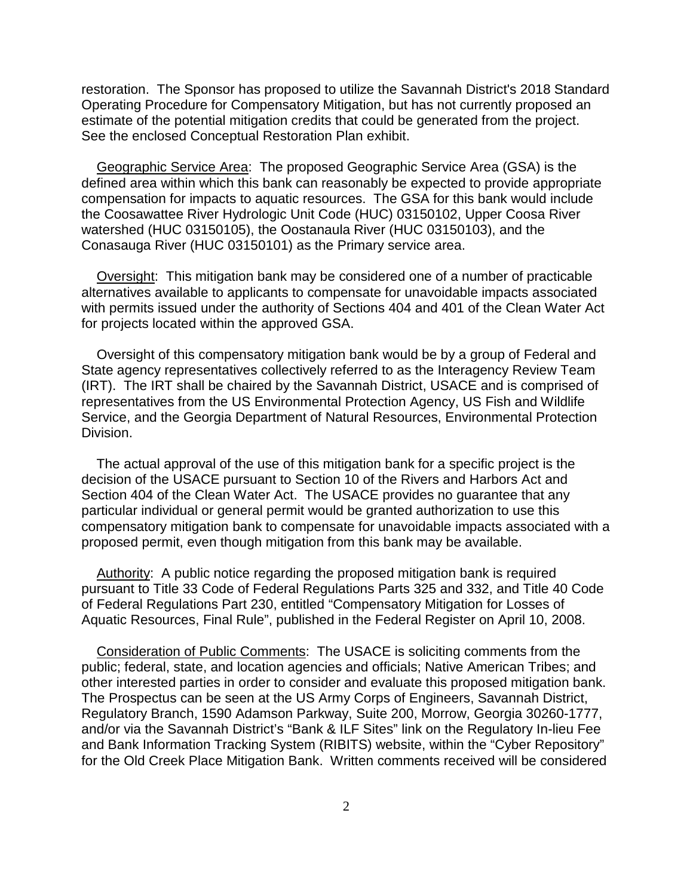restoration. The Sponsor has proposed to utilize the Savannah District's 2018 Standard Operating Procedure for Compensatory Mitigation, but has not currently proposed an estimate of the potential mitigation credits that could be generated from the project. See the enclosed Conceptual Restoration Plan exhibit.

 compensation for impacts to aquatic resources. The GSA for this bank would include watershed (HUC 03150105), the Oostanaula River (HUC 03150103), and the Geographic Service Area: The proposed Geographic Service Area (GSA) is the defined area within which this bank can reasonably be expected to provide appropriate the Coosawattee River Hydrologic Unit Code (HUC) 03150102, Upper Coosa River Conasauga River (HUC 03150101) as the Primary service area.

 with permits issued under the authority of Sections 404 and 401 of the Clean Water Act for projects located within the approved GSA. Oversight: This mitigation bank may be considered one of a number of practicable alternatives available to applicants to compensate for unavoidable impacts associated

 (IRT). The IRT shall be chaired by the Savannah District, USACE and is comprised of Oversight of this compensatory mitigation bank would be by a group of Federal and State agency representatives collectively referred to as the Interagency Review Team representatives from the US Environmental Protection Agency, US Fish and Wildlife Service, and the Georgia Department of Natural Resources, Environmental Protection Division.

 Section 404 of the Clean Water Act. The USACE provides no guarantee that any proposed permit, even though mitigation from this bank may be available. The actual approval of the use of this mitigation bank for a specific project is the decision of the USACE pursuant to Section 10 of the Rivers and Harbors Act and particular individual or general permit would be granted authorization to use this compensatory mitigation bank to compensate for unavoidable impacts associated with a

Authority: A public notice regarding the proposed mitigation bank is required pursuant to Title 33 Code of Federal Regulations Parts 325 and 332, and Title 40 Code of Federal Regulations Part 230, entitled "Compensatory Mitigation for Losses of Aquatic Resources, Final Rule", published in the Federal Register on April 10, 2008.

other interested parties in order to consider and evaluate this proposed mitigation bank. for the Old Creek Place Mitigation Bank. Written comments received will be considered Consideration of Public Comments: The USACE is soliciting comments from the public; federal, state, and location agencies and officials; Native American Tribes; and The Prospectus can be seen at the US Army Corps of Engineers, Savannah District, Regulatory Branch, 1590 Adamson Parkway, Suite 200, Morrow, Georgia 30260-1777, and/or via the Savannah District's "Bank & ILF Sites" link on the Regulatory In-lieu Fee and Bank Information Tracking System (RIBITS) website, within the "Cyber Repository"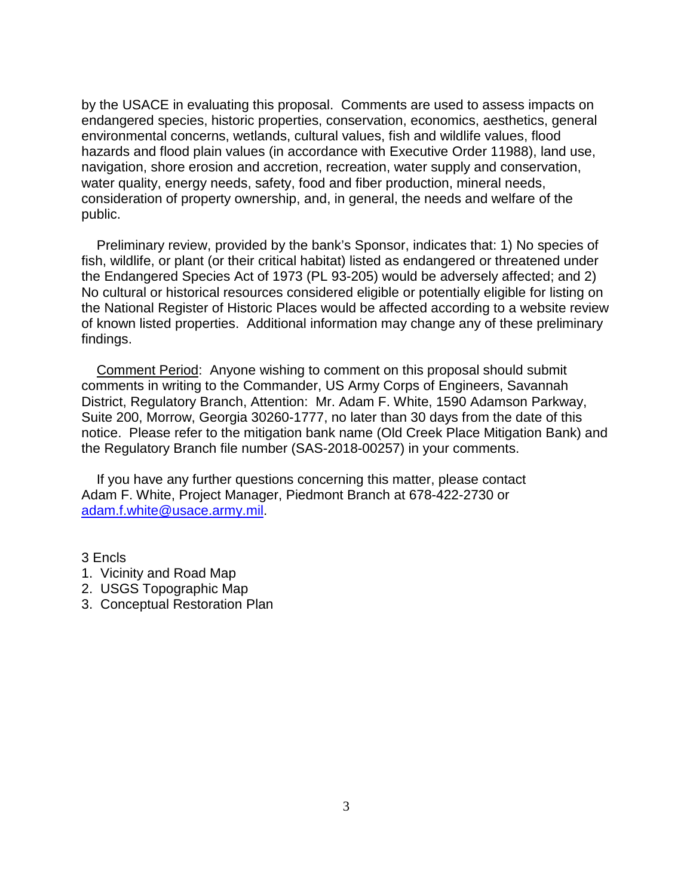environmental concerns, wetlands, cultural values, fish and wildlife values, flood consideration of property ownership, and, in general, the needs and welfare of the by the USACE in evaluating this proposal. Comments are used to assess impacts on endangered species, historic properties, conservation, economics, aesthetics, general hazards and flood plain values (in accordance with Executive Order 11988), land use, navigation, shore erosion and accretion, recreation, water supply and conservation, water quality, energy needs, safety, food and fiber production, mineral needs, public.

Preliminary review, provided by the bank's Sponsor, indicates that: 1) No species of fish, wildlife, or plant (or their critical habitat) listed as endangered or threatened under the Endangered Species Act of 1973 (PL 93-205) would be adversely affected; and 2) No cultural or historical resources considered eligible or potentially eligible for listing on the National Register of Historic Places would be affected according to a website review of known listed properties. Additional information may change any of these preliminary findings.

Comment Period: Anyone wishing to comment on this proposal should submit comments in writing to the Commander, US Army Corps of Engineers, Savannah District, Regulatory Branch, Attention: Mr. Adam F. White, 1590 Adamson Parkway, Suite 200, Morrow, Georgia 30260-1777, no later than 30 days from the date of this notice. Please refer to the mitigation bank name (Old Creek Place Mitigation Bank) and the Regulatory Branch file number (SAS-2018-00257) in your comments.

 Adam F. White, Project Manager, Piedmont Branch at 678-422-2730 or <u>adam.f.white@usace.army.mil</u>.<br>3 Encls If you have any further questions concerning this matter, please contact

3 Encls

- 1. Vicinity and Road Map
- 2. USGS Topographic Map
- 3. Conceptual Restoration Plan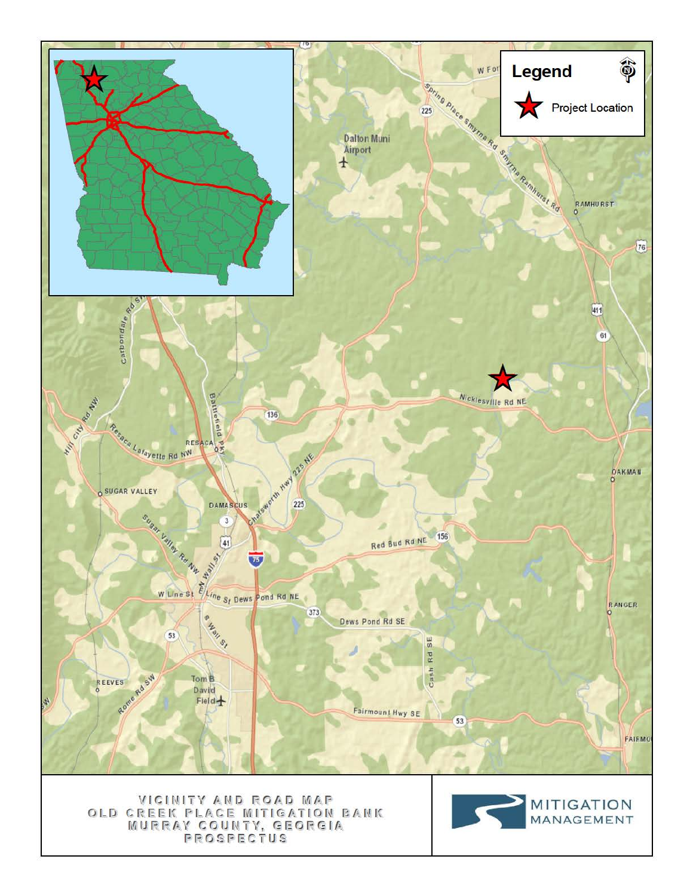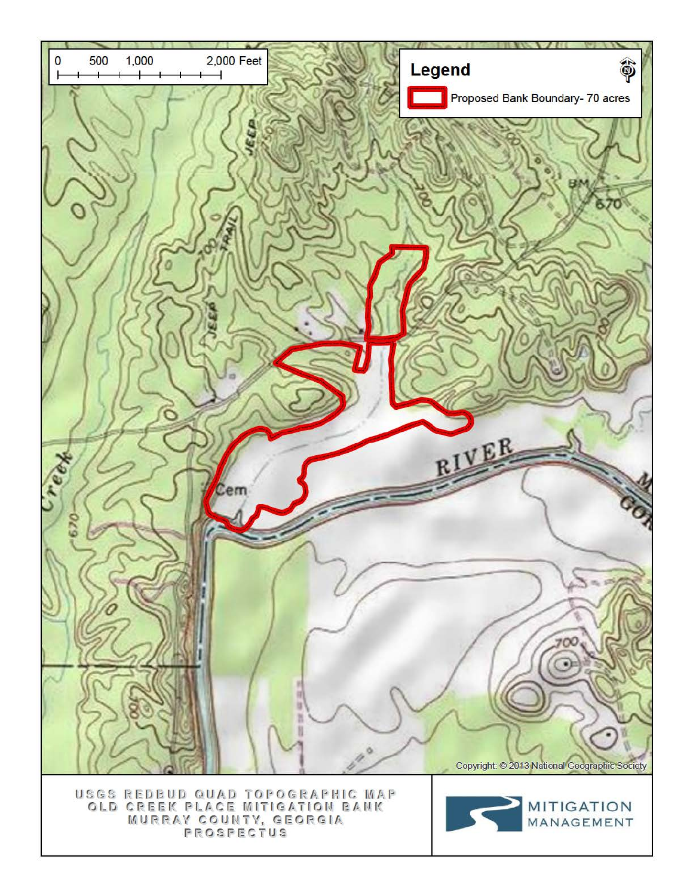